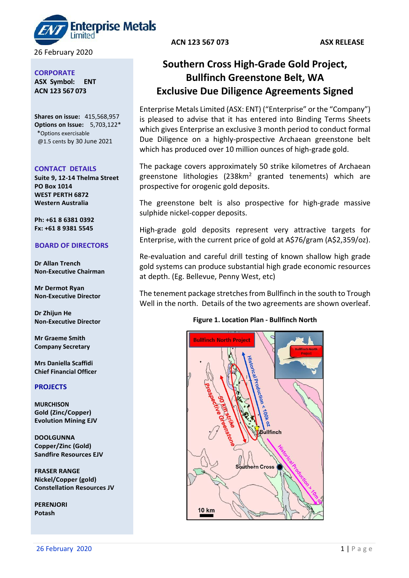terprise Metals

26 February 2020

#### **CORPORATE**

**ASX Symbol: ENT ACN 123 567 073**

**Shares on issue:** 415,568,957 **Options on Issue:** 5,703,122\* \*Options exercisable @1.5 cents by 30 June 2021

#### **CONTACT DETAILS**

**Suite 9, 12-14 Thelma Street PO Box 1014 WEST PERTH 6872 Western Australia**

**Ph: +61 8 6381 0392 Fx: +61 8 9381 5545**

## **BOARD OF DIRECTORS**

**Dr Allan Trench Non-Executive Chairman**

**Mr Dermot Ryan Non-Executive Director**

**Dr Zhijun He Non-Executive Director**

**Mr Graeme Smith Company Secretary**

**Mrs Daniella Scaffidi Chief Financial Officer**

# **PROJECTS**

**MURCHISON Gold (Zinc/Copper) Evolution Mining EJV**

**DOOLGUNNA Copper/Zinc (Gold) Sandfire Resources EJV**

**FRASER RANGE Nickel/Copper (gold) Constellation Resources JV**

**PERENJORI Potash**

**ACN 123 567 073 ASX RELEASE**

# **Southern Cross High-Grade Gold Project, Bullfinch Greenstone Belt, WA Exclusive Due Diligence Agreements Signed**

Enterprise Metals Limited (ASX: ENT) ("Enterprise" or the "Company") is pleased to advise that it has entered into Binding Terms Sheets which gives Enterprise an exclusive 3 month period to conduct formal Due Diligence on a highly-prospective Archaean greenstone belt which has produced over 10 million ounces of high-grade gold.

The package covers approximately 50 strike kilometres of Archaean greenstone lithologies  $(238km^2 \text{ granted }$  tenements) which are prospective for orogenic gold deposits.

The greenstone belt is also prospective for high-grade massive sulphide nickel-copper deposits.

High-grade gold deposits represent very attractive targets for Enterprise, with the current price of gold at A\$76/gram (A\$2,359/oz).

Re-evaluation and careful drill testing of known shallow high grade gold systems can produce substantial high grade economic resources at depth. (Eg. Bellevue, Penny West, etc)

The tenement package stretches from Bullfinch in the south to Trough Well in the north. Details of the two agreements are shown overleaf.

## **Figure 1. Location Plan - Bullfinch North**

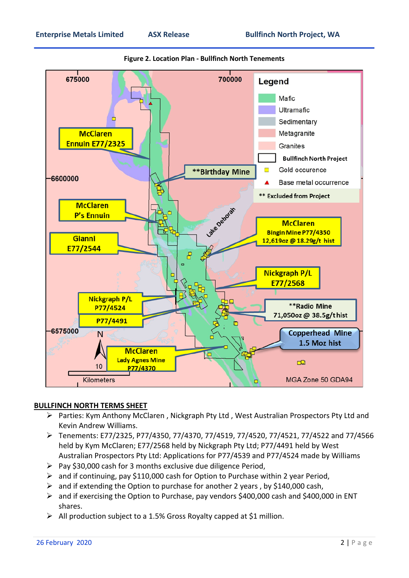

## **Figure 2. Location Plan - Bullfinch North Tenements**

## **BULLFINCH NORTH TERMS SHEET**

- $\triangleright$  Parties: Kym Anthony McClaren, Nickgraph Pty Ltd, West Australian Prospectors Pty Ltd and Kevin Andrew Williams.
- Tenements: E77/2325, P77/4350, 77/4370, 77/4519, 77/4520, 77/4521, 77/4522 and 77/4566 held by Kym McClaren; E77/2568 held by Nickgraph Pty Ltd; P77/4491 held by West Australian Prospectors Pty Ltd: Applications for P77/4539 and P77/4524 made by Williams
- $\triangleright$  Pay \$30,000 cash for 3 months exclusive due diligence Period,
- $\triangleright$  and if continuing, pay \$110,000 cash for Option to Purchase within 2 year Period,
- $\triangleright$  and if extending the Option to purchase for another 2 years, by \$140,000 cash,
- and if exercising the Option to Purchase, pay vendors \$400,000 cash and \$400,000 in ENT shares.
- $\triangleright$  All production subject to a 1.5% Gross Royalty capped at \$1 million.